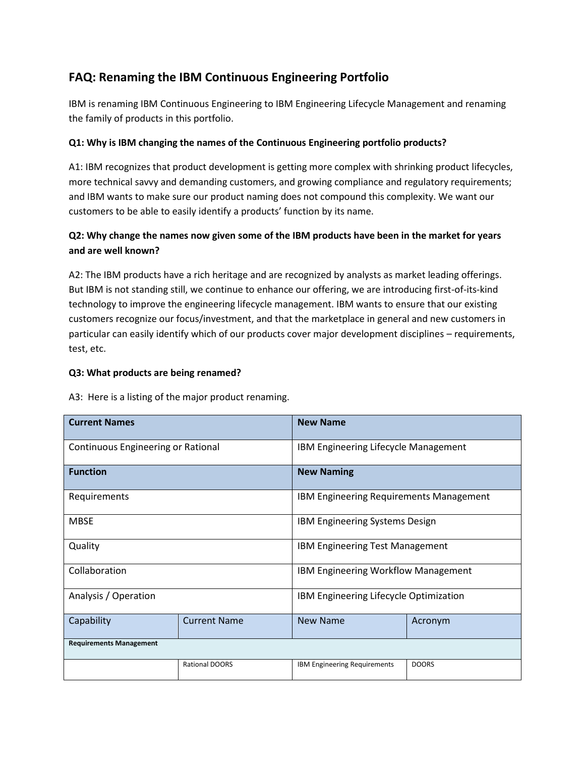# **FAQ: Renaming the IBM Continuous Engineering Portfolio**

IBM is renaming IBM Continuous Engineering to IBM Engineering Lifecycle Management and renaming the family of products in this portfolio.

#### **Q1: Why is IBM changing the names of the Continuous Engineering portfolio products?**

A1: IBM recognizes that product development is getting more complex with shrinking product lifecycles, more technical savvy and demanding customers, and growing compliance and regulatory requirements; and IBM wants to make sure our product naming does not compound this complexity. We want our customers to be able to easily identify a products' function by its name.

## **Q2: Why change the names now given some of the IBM products have been in the market for years and are well known?**

A2: The IBM products have a rich heritage and are recognized by analysts as market leading offerings. But IBM is not standing still, we continue to enhance our offering, we are introducing first-of-its-kind technology to improve the engineering lifecycle management. IBM wants to ensure that our existing customers recognize our focus/investment, and that the marketplace in general and new customers in particular can easily identify which of our products cover major development disciplines – requirements, test, etc.

#### **Q3: What products are being renamed?**

| <b>Current Names</b>               |                       | <b>New Name</b>                            |              |  |
|------------------------------------|-----------------------|--------------------------------------------|--------------|--|
| Continuous Engineering or Rational |                       | IBM Engineering Lifecycle Management       |              |  |
| <b>Function</b>                    |                       | <b>New Naming</b>                          |              |  |
| Requirements                       |                       | IBM Engineering Requirements Management    |              |  |
| <b>MBSE</b>                        |                       | IBM Engineering Systems Design             |              |  |
| Quality                            |                       | <b>IBM Engineering Test Management</b>     |              |  |
| Collaboration                      |                       | <b>IBM Engineering Workflow Management</b> |              |  |
| Analysis / Operation               |                       | IBM Engineering Lifecycle Optimization     |              |  |
| Capability                         | <b>Current Name</b>   | <b>New Name</b>                            | Acronym      |  |
| <b>Requirements Management</b>     |                       |                                            |              |  |
|                                    | <b>Rational DOORS</b> | IBM Engineering Requirements               | <b>DOORS</b> |  |

A3: Here is a listing of the major product renaming.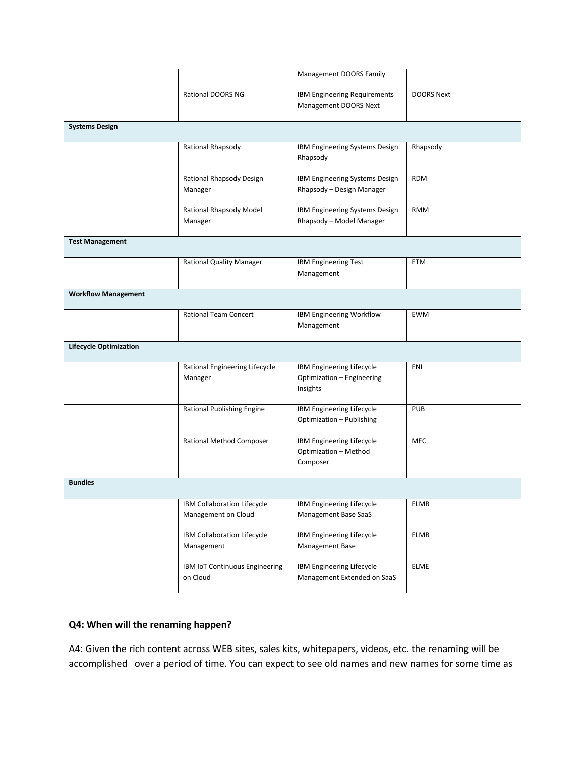|                               |                                                    | <b>Management DOORS Family</b>                                      |                   |
|-------------------------------|----------------------------------------------------|---------------------------------------------------------------------|-------------------|
|                               | Rational DOORS NG                                  | IBM Engineering Requirements<br>Management DOORS Next               | <b>DOORS Next</b> |
| <b>Systems Design</b>         |                                                    |                                                                     |                   |
|                               | Rational Rhapsody                                  | IBM Engineering Systems Design<br>Rhapsody                          | Rhapsody          |
|                               | Rational Rhapsody Design<br>Manager                | IBM Engineering Systems Design<br>Rhapsody - Design Manager         | <b>RDM</b>        |
|                               | Rational Rhapsody Model<br>Manager                 | IBM Engineering Systems Design<br>Rhapsody - Model Manager          | <b>RMM</b>        |
| <b>Test Management</b>        |                                                    |                                                                     |                   |
|                               | <b>Rational Quality Manager</b>                    | IBM Engineering Test<br>Management                                  | <b>ETM</b>        |
| <b>Workflow Management</b>    |                                                    |                                                                     |                   |
|                               | <b>Rational Team Concert</b>                       | IBM Engineering Workflow<br>Management                              | <b>EWM</b>        |
| <b>Lifecycle Optimization</b> |                                                    |                                                                     |                   |
|                               | Rational Engineering Lifecycle<br>Manager          | IBM Engineering Lifecycle<br>Optimization - Engineering<br>Insights | ENI               |
|                               | Rational Publishing Engine                         | IBM Engineering Lifecycle<br>Optimization - Publishing              | PUB               |
|                               | Rational Method Composer                           | IBM Engineering Lifecycle<br>Optimization - Method<br>Composer      | MEC               |
| <b>Bundles</b>                |                                                    |                                                                     |                   |
|                               | IBM Collaboration Lifecycle<br>Management on Cloud | IBM Engineering Lifecycle<br>Management Base SaaS                   | <b>ELMB</b>       |
|                               | IBM Collaboration Lifecycle<br>Management          | IBM Engineering Lifecycle<br>Management Base                        | ELMB              |
|                               | IBM IoT Continuous Engineering<br>on Cloud         | IBM Engineering Lifecycle<br>Management Extended on SaaS            | <b>ELME</b>       |

## **Q4: When will the renaming happen?**

A4: Given the rich content across WEB sites, sales kits, whitepapers, videos, etc. the renaming will be accomplished over a period of time. You can expect to see old names and new names for some time as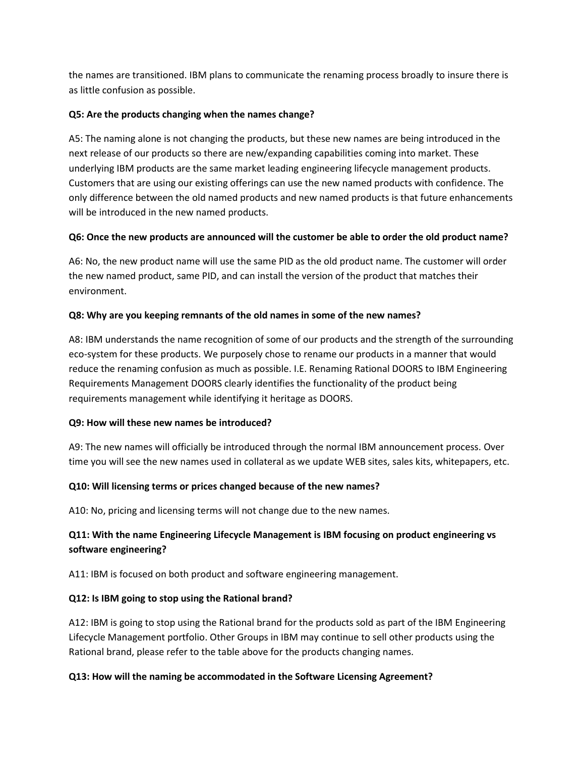the names are transitioned. IBM plans to communicate the renaming process broadly to insure there is as little confusion as possible.

#### **Q5: Are the products changing when the names change?**

A5: The naming alone is not changing the products, but these new names are being introduced in the next release of our products so there are new/expanding capabilities coming into market. These underlying IBM products are the same market leading engineering lifecycle management products. Customers that are using our existing offerings can use the new named products with confidence. The only difference between the old named products and new named products is that future enhancements will be introduced in the new named products.

#### **Q6: Once the new products are announced will the customer be able to order the old product name?**

A6: No, the new product name will use the same PID as the old product name. The customer will order the new named product, same PID, and can install the version of the product that matches their environment.

#### **Q8: Why are you keeping remnants of the old names in some of the new names?**

A8: IBM understands the name recognition of some of our products and the strength of the surrounding eco-system for these products. We purposely chose to rename our products in a manner that would reduce the renaming confusion as much as possible. I.E. Renaming Rational DOORS to IBM Engineering Requirements Management DOORS clearly identifies the functionality of the product being requirements management while identifying it heritage as DOORS.

#### **Q9: How will these new names be introduced?**

A9: The new names will officially be introduced through the normal IBM announcement process. Over time you will see the new names used in collateral as we update WEB sites, sales kits, whitepapers, etc.

#### **Q10: Will licensing terms or prices changed because of the new names?**

A10: No, pricing and licensing terms will not change due to the new names.

## **Q11: With the name Engineering Lifecycle Management is IBM focusing on product engineering vs software engineering?**

A11: IBM is focused on both product and software engineering management.

#### **Q12: Is IBM going to stop using the Rational brand?**

A12: IBM is going to stop using the Rational brand for the products sold as part of the IBM Engineering Lifecycle Management portfolio. Other Groups in IBM may continue to sell other products using the Rational brand, please refer to the table above for the products changing names.

#### **Q13: How will the naming be accommodated in the Software Licensing Agreement?**